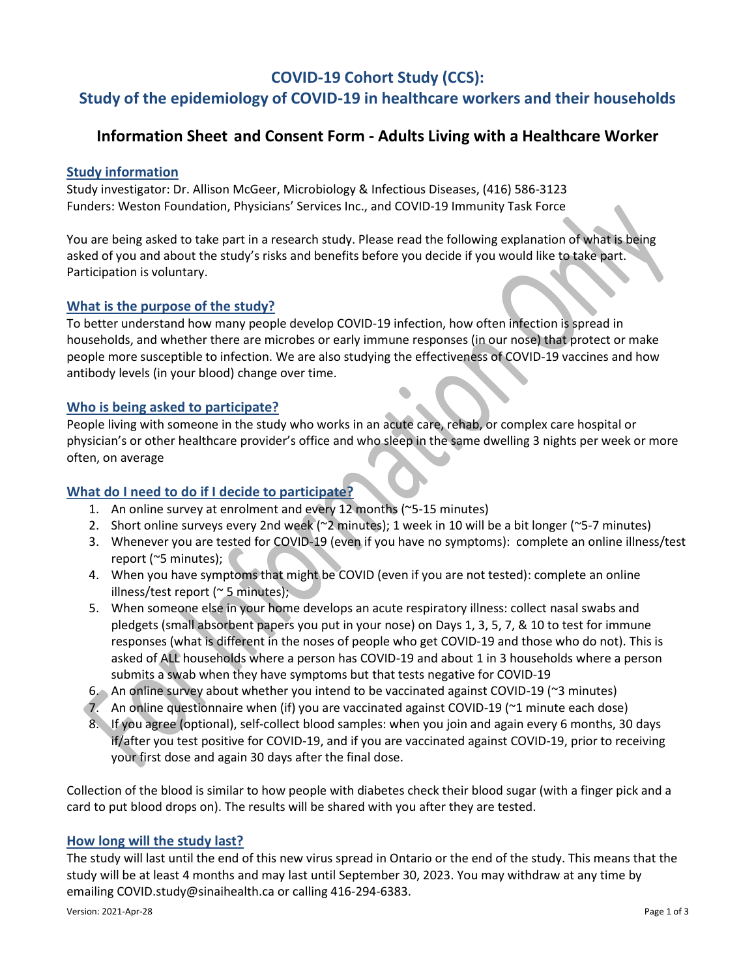# **COVID-19 Cohort Study (CCS):**

# **Study of the epidemiology of COVID-19 in healthcare workers and their households**

## **Information Sheet and Consent Form - Adults Living with a Healthcare Worker**

### **Study information**

Study investigator: Dr. Allison McGeer, Microbiology & Infectious Diseases, (416) 586-3123 Funders: Weston Foundation, Physicians' Services Inc., and COVID-19 Immunity Task Force

You are being asked to take part in a research study. Please read the following explanation of what is being asked of you and about the study's risks and benefits before you decide if you would like to take part. Participation is voluntary.

### **What is the purpose of the study?**

To better understand how many people develop COVID-19 infection, how often infection is spread in households, and whether there are microbes or early immune responses (in our nose) that protect or make people more susceptible to infection. We are also studying the effectiveness of COVID-19 vaccines and how antibody levels (in your blood) change over time.

### **Who is being asked to participate?**

People living with someone in the study who works in an acute care, rehab, or complex care hospital or physician's or other healthcare provider's office and who sleep in the same dwelling 3 nights per week or more often, on average

### **What do I need to do if I decide to participate?**

- 1. An online survey at enrolment and every 12 months (~5-15 minutes)
- 2. Short online surveys every 2nd week (~2 minutes); 1 week in 10 will be a bit longer (~5-7 minutes)
- 3. Whenever you are tested for COVID-19 (even if you have no symptoms): complete an online illness/test report (~5 minutes);
- 4. When you have symptoms that might be COVID (even if you are not tested): complete an online illness/test report (~ 5 minutes);
- 5. When someone else in your home develops an acute respiratory illness: collect nasal swabs and pledgets (small absorbent papers you put in your nose) on Days 1, 3, 5, 7, & 10 to test for immune responses (what is different in the noses of people who get COVID-19 and those who do not). This is asked of ALL households where a person has COVID-19 and about 1 in 3 households where a person submits a swab when they have symptoms but that tests negative for COVID-19
- 6. An online survey about whether you intend to be vaccinated against COVID-19 (~3 minutes)
- 7. An online questionnaire when (if) you are vaccinated against COVID-19 (~1 minute each dose)
- 8. If you agree (optional), self-collect blood samples: when you join and again every 6 months, 30 days if/after you test positive for COVID-19, and if you are vaccinated against COVID-19, prior to receiving your first dose and again 30 days after the final dose.

Collection of the blood is similar to how people with diabetes check their blood sugar (with a finger pick and a card to put blood drops on). The results will be shared with you after they are tested.

### **How long will the study last?**

The study will last until the end of this new virus spread in Ontario or the end of the study. This means that the study will be at least 4 months and may last until September 30, 2023. You may withdraw at any time by emailin[g COVID.study@sinaihealth.ca](mailto:COVID.study@sinaihealth.ca) or calling 416-294-6383.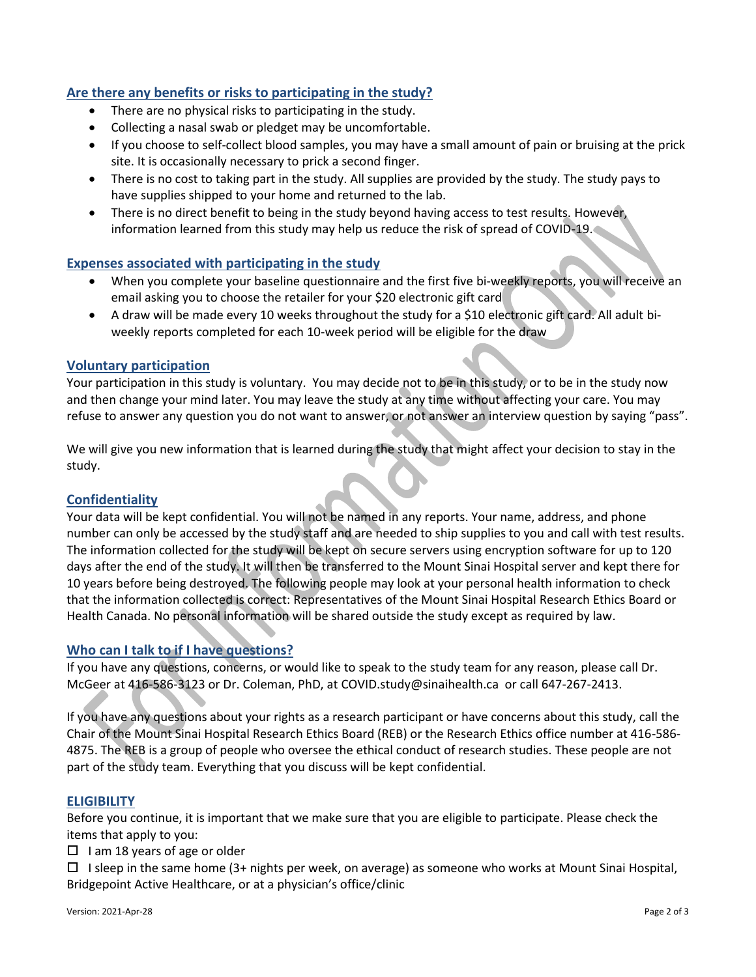### **Are there any benefits or risks to participating in the study?**

- There are no physical risks to participating in the study.
- Collecting a nasal swab or pledget may be uncomfortable.
- If you choose to self-collect blood samples, you may have a small amount of pain or bruising at the prick site. It is occasionally necessary to prick a second finger.
- There is no cost to taking part in the study. All supplies are provided by the study. The study pays to have supplies shipped to your home and returned to the lab.
- There is no direct benefit to being in the study beyond having access to test results. However, information learned from this study may help us reduce the risk of spread of COVID-19.

### **Expenses associated with participating in the study**

- When you complete your baseline questionnaire and the first five bi-weekly reports, you will receive an email asking you to choose the retailer for your \$20 electronic gift card
- A draw will be made every 10 weeks throughout the study for a \$10 electronic gift card. All adult biweekly reports completed for each 10-week period will be eligible for the draw

### **Voluntary participation**

Your participation in this study is voluntary. You may decide not to be in this study, or to be in the study now and then change your mind later. You may leave the study at any time without affecting your care. You may refuse to answer any question you do not want to answer, or not answer an interview question by saying "pass".

We will give you new information that is learned during the study that might affect your decision to stay in the study.

#### **Confidentiality**

Your data will be kept confidential. You will not be named in any reports. Your name, address, and phone number can only be accessed by the study staff and are needed to ship supplies to you and call with test results. The information collected for the study will be kept on secure servers using encryption software for up to 120 days after the end of the study. It will then be transferred to the Mount Sinai Hospital server and kept there for 10 years before being destroyed. The following people may look at your personal health information to check that the information collected is correct: Representatives of the Mount Sinai Hospital Research Ethics Board or Health Canada. No personal information will be shared outside the study except as required by law.

### **Who can I talk to if I have questions?**

If you have any questions, concerns, or would like to speak to the study team for any reason, please call Dr. McGeer at 416-586-3123 or Dr. Coleman, PhD, at [COVID.study@sinaihealth.ca](mailto:COVID.study@sinaihealth.ca) or call 647-267-2413.

If you have any questions about your rights as a research participant or have concerns about this study, call the Chair of the Mount Sinai Hospital Research Ethics Board (REB) or the Research Ethics office number at 416-586- 4875. The REB is a group of people who oversee the ethical conduct of research studies. These people are not part of the study team. Everything that you discuss will be kept confidential.

#### **ELIGIBILITY**

Before you continue, it is important that we make sure that you are eligible to participate. Please check the items that apply to you:

- $\Box$  I am 18 years of age or older
- $\Box$  I sleep in the same home (3+ nights per week, on average) as someone who works at Mount Sinai Hospital, Bridgepoint Active Healthcare, or at a physician's office/clinic